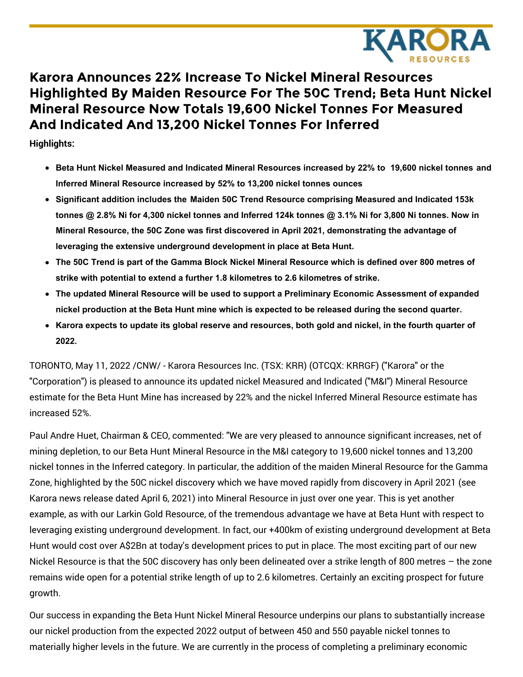

# **Karora Announces 22% Increase To Nickel Mineral Resources Highlighted By Maiden Resource For The 50C Trend; Beta Hunt Nickel Mineral Resource Now Totals 19,600 Nickel Tonnes For Measured And Indicated And 13,200 Nickel Tonnes For Inferred**

**Highlights:**

- **Beta Hunt Nickel Measured and Indicated Mineral Resources increased by 22% to 19,600 nickel tonnes and Inferred Mineral Resource increased by 52% to 13,200 nickel tonnes ounces**
- **Significant addition includes the Maiden 50C Trend Resource comprising Measured and Indicated 153k** tonnes @ 2.8% Ni for 4,300 nickel tonnes and Inferred 124k tonnes @ 3.1% Ni for 3,800 Ni tonnes. Now in **Mineral Resource, the 50C Zone was first discovered in April 2021, demonstrating the advantage of leveraging the extensive underground development in place at Beta Hunt.**
- The 50C Trend is part of the Gamma Block Nickel Mineral Resource which is defined over 800 metres of **strike with potential to extend a further 1.8 kilometres to 2.6 kilometres of strike.**
- **The updated Mineral Resource will be used to support a Preliminary Economic Assessment of expanded nickel production at the Beta Hunt mine which is expected to be released during the second quarter.**
- Karora expects to update its global reserve and resources, both gold and nickel, in the fourth quarter of **2022.**

TORONTO, May 11, 2022 /CNW/ - Karora Resources Inc. (TSX: KRR) (OTCQX: KRRGF) ("Karora" or the "Corporation") is pleased to announce its updated nickel Measured and Indicated ("M&I") Mineral Resource estimate for the Beta Hunt Mine has increased by 22% and the nickel Inferred Mineral Resource estimate has increased 52%.

Paul Andre Huet, Chairman & CEO, commented: "We are very pleased to announce significant increases, net of mining depletion, to our Beta Hunt Mineral Resource in the M&I category to 19,600 nickel tonnes and 13,200 nickel tonnes in the Inferred category. In particular, the addition of the maiden Mineral Resource for the Gamma Zone, highlighted by the 50C nickel discovery which we have moved rapidly from discovery in April 2021 (see Karora news release dated April 6, 2021) into Mineral Resource in just over one year. This is yet another example, as with our Larkin Gold Resource, of the tremendous advantage we have at Beta Hunt with respect to leveraging existing underground development. In fact, our +400km of existing underground development at Beta Hunt would cost over A\$2Bn at today's development prices to put in place. The most exciting part of our new Nickel Resource is that the 50C discovery has only been delineated over a strike length of 800 metres – the zone remains wide open for a potential strike length of up to 2.6 kilometres. Certainly an exciting prospect for future growth.

Our success in expanding the Beta Hunt Nickel Mineral Resource underpins our plans to substantially increase our nickel production from the expected 2022 output of between 450 and 550 payable nickel tonnes to materially higher levels in the future. We are currently in the process of completing a preliminary economic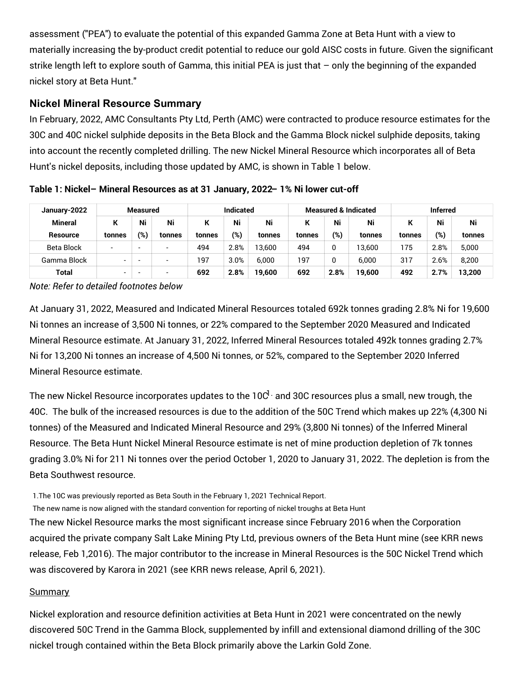assessment ("PEA") to evaluate the potential of this expanded Gamma Zone at Beta Hunt with a view to materially increasing the by-product credit potential to reduce our gold AISC costs in future. Given the significant strike length left to explore south of Gamma, this initial PEA is just that – only the beginning of the expanded nickel story at Beta Hunt."

# **Nickel Mineral Resource Summary**

In February, 2022, AMC Consultants Pty Ltd, Perth (AMC) were contracted to produce resource estimates for the 30C and 40C nickel sulphide deposits in the Beta Block and the Gamma Block nickel sulphide deposits, taking into account the recently completed drilling. The new Nickel Mineral Resource which incorporates all of Beta Hunt's nickel deposits, including those updated by AMC, is shown in Table 1 below.

| January-2022   | Measured                 |     |        | <b>Indicated</b> |      |        |        |      | <b>Measured &amp; Indicated</b> | <b>Inferred</b> |        |        |  |
|----------------|--------------------------|-----|--------|------------------|------|--------|--------|------|---------------------------------|-----------------|--------|--------|--|
| <b>Mineral</b> | к                        | Ni  | Ni     |                  | Ni   | Ni     |        | Ni   | Ni                              |                 | Ni     | Ni     |  |
| Resource       | tonnes                   | (%) | tonnes | tonnes           | (%)  | tonnes | tonnes | (%)  | tonnes                          | tonnes          | $(\%)$ | tonnes |  |
| Beta Block     | $\overline{\phantom{0}}$ |     | -      | 494              | 2.8% | 13.600 | 494    |      | 13.600                          | 175             | 2.8%   | 5,000  |  |
| Gamma Block    | -                        |     |        | 197              | 3.0% | 6.000  | 197    |      | 6.000                           | 317             | 2.6%   | 8,200  |  |
| Total          | $\overline{\phantom{a}}$ |     | -      | 692              | 2.8% | 19.600 | 692    | 2.8% | 19.600                          | 492             | 2.7%   | 13,200 |  |

**Table 1: Nickel– Mineral Resources as at 31 January, 2022– 1% Ni lower cut-off**

*Note: Refer to detailed footnotes below*

At January 31, 2022, Measured and Indicated Mineral Resources totaled 692k tonnes grading 2.8% Ni for 19,600 Ni tonnes an increase of 3,500 Ni tonnes, or 22% compared to the September 2020 Measured and Indicated Mineral Resource estimate. At January 31, 2022, Inferred Mineral Resources totaled 492k tonnes grading 2.7% Ni for 13,200 Ni tonnes an increase of 4,500 Ni tonnes, or 52%, compared to the September 2020 Inferred Mineral Resource estimate.

The new Nickel Resource incorporates updates to the 10C $^{\rm l}$  and 30C resources plus a small, new trough, the 40C. The bulk of the increased resources is due to the addition of the 50C Trend which makes up 22% (4,300 Ni tonnes) of the Measured and Indicated Mineral Resource and 29% (3,800 Ni tonnes) of the Inferred Mineral Resource. The Beta Hunt Nickel Mineral Resource estimate is net of mine production depletion of 7k tonnes grading 3.0% Ni for 211 Ni tonnes over the period October 1, 2020 to January 31, 2022. The depletion is from the Beta Southwest resource.

1.The 10C was previously reported as Beta South in the February 1, 2021 Technical Report.

The new name is now aligned with the standard convention for reporting of nickel troughs at Beta Hunt

The new Nickel Resource marks the most significant increase since February 2016 when the Corporation acquired the private company Salt Lake Mining Pty Ltd, previous owners of the Beta Hunt mine (see KRR news release, Feb 1,2016). The major contributor to the increase in Mineral Resources is the 50C Nickel Trend which was discovered by Karora in 2021 (see KRR news release, April 6, 2021).

#### Summary

Nickel exploration and resource definition activities at Beta Hunt in 2021 were concentrated on the newly discovered 50C Trend in the Gamma Block, supplemented by infill and extensional diamond drilling of the 30C nickel trough contained within the Beta Block primarily above the Larkin Gold Zone.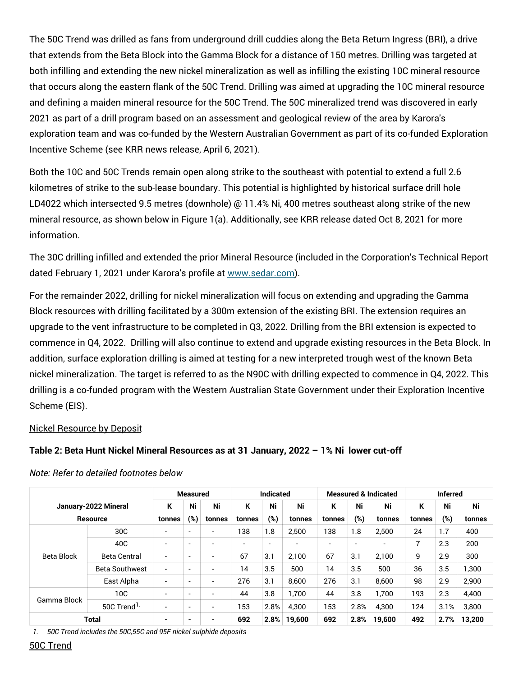The 50C Trend was drilled as fans from underground drill cuddies along the Beta Return Ingress (BRI), a drive that extends from the Beta Block into the Gamma Block for a distance of 150 metres. Drilling was targeted at both infilling and extending the new nickel mineralization as well as infilling the existing 10C mineral resource that occurs along the eastern flank of the 50C Trend. Drilling was aimed at upgrading the 10C mineral resource and defining a maiden mineral resource for the 50C Trend. The 50C mineralized trend was discovered in early 2021 as part of a drill program based on an assessment and geological review of the area by Karora's exploration team and was co-funded by the Western Australian Government as part of its co-funded Exploration Incentive Scheme (see KRR news release, April 6, 2021).

Both the 10C and 50C Trends remain open along strike to the southeast with potential to extend a full 2.6 kilometres of strike to the sub-lease boundary. This potential is highlighted by historical surface drill hole LD4022 which intersected 9.5 metres (downhole) @ 11.4% Ni, 400 metres southeast along strike of the new mineral resource, as shown below in Figure 1(a). Additionally, see KRR release dated Oct 8, 2021 for more information.

The 30C drilling infilled and extended the prior Mineral Resource (included in the Corporation's Technical Report dated February 1, 2021 under Karora's profile at [www.sedar.com](https://c212.net/c/link/?t=0&l=en&o=3533793-1&h=557640527&u=http%3A%2F%2Fwww.sedar.com%2F&a=www.sedar.com)).

For the remainder 2022, drilling for nickel mineralization will focus on extending and upgrading the Gamma Block resources with drilling facilitated by a 300m extension of the existing BRI. The extension requires an upgrade to the vent infrastructure to be completed in Q3, 2022. Drilling from the BRI extension is expected to commence in Q4, 2022. Drilling will also continue to extend and upgrade existing resources in the Beta Block. In addition, surface exploration drilling is aimed at testing for a new interpreted trough west of the known Beta nickel mineralization. The target is referred to as the N90C with drilling expected to commence in Q4, 2022. This drilling is a co-funded program with the Western Australian State Government under their Exploration Incentive Scheme (EIS).

#### Nickel Resource by Deposit

#### **Table 2: Beta Hunt Nickel Mineral Resources as at 31 January, 2022 – 1% Ni lower cut-off**

|                      |                         | <b>Measured</b> |                          |                          | <b>Indicated</b> |      |        | <b>Measured &amp; Indicated</b> |      |        | <b>Inferred</b> |      |        |
|----------------------|-------------------------|-----------------|--------------------------|--------------------------|------------------|------|--------|---------------------------------|------|--------|-----------------|------|--------|
| January-2022 Mineral |                         | К               | Ni                       | Ni                       | К                | Ni   | Ni     | К                               | Ni   | Ni     | К               | Ni   | Ni     |
| <b>Resource</b>      |                         | tonnes          | (%)                      | tonnes                   | tonnes           | (%)  | tonnes | tonnes                          | (%)  | tonnes | tonnes          | (%)  | tonnes |
| Beta Block           | 30 <sub>C</sub>         |                 | $\overline{\phantom{a}}$ |                          | 138              | 1.8  | 2,500  | 138                             | 1.8  | 2,500  | 24              | 1.7  | 400    |
|                      | 40C                     |                 | -                        |                          |                  | ۰    |        | ٠                               | -    |        | ⇁               | 2.3  | 200    |
|                      | <b>Beta Central</b>     |                 | $\overline{\phantom{a}}$ | $\overline{\phantom{a}}$ | 67               | 3.1  | 2.100  | 67                              | 3.1  | 2.100  | 9               | 2.9  | 300    |
|                      | <b>Beta Southwest</b>   | -               | $\overline{\phantom{a}}$ |                          | 14               | 3.5  | 500    | 14                              | 3.5  | 500    | 36              | 3.5  | 1,300  |
|                      | East Alpha              |                 | $\overline{\phantom{a}}$ |                          | 276              | 3.1  | 8.600  | 276                             | 3.1  | 8.600  | 98              | 2.9  | 2,900  |
| Gamma Block          | 10C                     |                 | $\overline{\phantom{a}}$ |                          | 44               | 3.8  | 1.700  | 44                              | 3.8  | 1.700  | 193             | 2.3  | 4,400  |
|                      | 50C Trend <sup>1.</sup> |                 | $\overline{\phantom{a}}$ |                          | 153              | 2.8% | 4,300  | 153                             | 2.8% | 4.300  | 124             | 3.1% | 3,800  |
| Total                |                         |                 | $\blacksquare$           |                          | 692              | 2.8% | 19,600 | 692                             | 2.8% | 19,600 | 492             | 2.7% | 13,200 |

#### *Note: Refer to detailed footnotes below*

*1. 50C Trend includes the 50C,55C and 95F nickel sulphide deposits*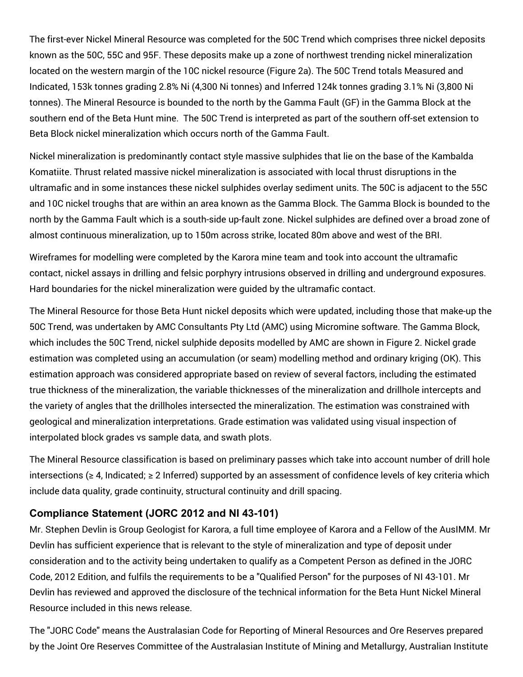The first-ever Nickel Mineral Resource was completed for the 50C Trend which comprises three nickel deposits known as the 50C, 55C and 95F. These deposits make up a zone of northwest trending nickel mineralization located on the western margin of the 10C nickel resource (Figure 2a). The 50C Trend totals Measured and Indicated, 153k tonnes grading 2.8% Ni (4,300 Ni tonnes) and Inferred 124k tonnes grading 3.1% Ni (3,800 Ni tonnes). The Mineral Resource is bounded to the north by the Gamma Fault (GF) in the Gamma Block at the southern end of the Beta Hunt mine. The 50C Trend is interpreted as part of the southern off-set extension to Beta Block nickel mineralization which occurs north of the Gamma Fault.

Nickel mineralization is predominantly contact style massive sulphides that lie on the base of the Kambalda Komatiite. Thrust related massive nickel mineralization is associated with local thrust disruptions in the ultramafic and in some instances these nickel sulphides overlay sediment units. The 50C is adjacent to the 55C and 10C nickel troughs that are within an area known as the Gamma Block. The Gamma Block is bounded to the north by the Gamma Fault which is a south-side up-fault zone. Nickel sulphides are defined over a broad zone of almost continuous mineralization, up to 150m across strike, located 80m above and west of the BRI.

Wireframes for modelling were completed by the Karora mine team and took into account the ultramafic contact, nickel assays in drilling and felsic porphyry intrusions observed in drilling and underground exposures. Hard boundaries for the nickel mineralization were guided by the ultramafic contact.

The Mineral Resource for those Beta Hunt nickel deposits which were updated, including those that make-up the 50C Trend, was undertaken by AMC Consultants Pty Ltd (AMC) using Micromine software. The Gamma Block, which includes the 50C Trend, nickel sulphide deposits modelled by AMC are shown in Figure 2. Nickel grade estimation was completed using an accumulation (or seam) modelling method and ordinary kriging (OK). This estimation approach was considered appropriate based on review of several factors, including the estimated true thickness of the mineralization, the variable thicknesses of the mineralization and drillhole intercepts and the variety of angles that the drillholes intersected the mineralization. The estimation was constrained with geological and mineralization interpretations. Grade estimation was validated using visual inspection of interpolated block grades vs sample data, and swath plots.

The Mineral Resource classification is based on preliminary passes which take into account number of drill hole intersections (≥ 4, Indicated; ≥ 2 Inferred) supported by an assessment of confidence levels of key criteria which include data quality, grade continuity, structural continuity and drill spacing.

## **Compliance Statement (JORC 2012 and NI 43-101)**

Mr. Stephen Devlin is Group Geologist for Karora, a full time employee of Karora and a Fellow of the AusIMM. Mr Devlin has sufficient experience that is relevant to the style of mineralization and type of deposit under consideration and to the activity being undertaken to qualify as a Competent Person as defined in the JORC Code, 2012 Edition, and fulfils the requirements to be a "Qualified Person" for the purposes of NI 43-101. Mr Devlin has reviewed and approved the disclosure of the technical information for the Beta Hunt Nickel Mineral Resource included in this news release.

The "JORC Code" means the Australasian Code for Reporting of Mineral Resources and Ore Reserves prepared by the Joint Ore Reserves Committee of the Australasian Institute of Mining and Metallurgy, Australian Institute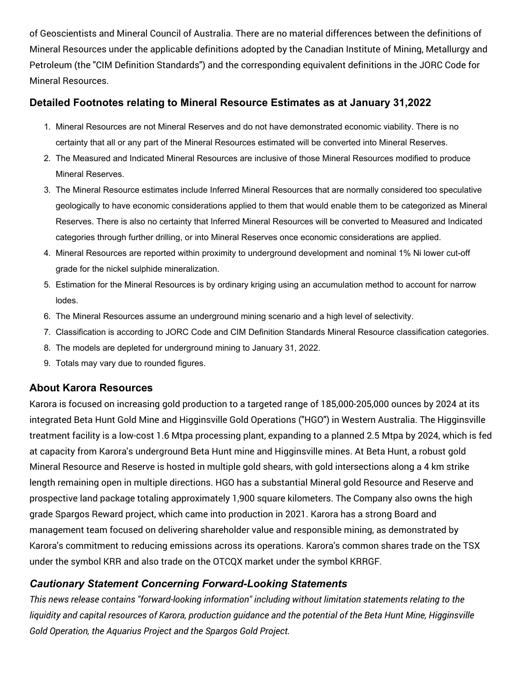of Geoscientists and Mineral Council of Australia. There are no material differences between the definitions of Mineral Resources under the applicable definitions adopted by the Canadian Institute of Mining, Metallurgy and Petroleum (the "CIM Definition Standards") and the corresponding equivalent definitions in the JORC Code for Mineral Resources.

### **Detailed Footnotes relating to Mineral Resource Estimates as at January 31,2022**

- 1. Mineral Resources are not Mineral Reserves and do not have demonstrated economic viability. There is no certainty that all or any part of the Mineral Resources estimated will be converted into Mineral Reserves.
- 2. The Measured and Indicated Mineral Resources are inclusive of those Mineral Resources modified to produce Mineral Reserves.
- 3. The Mineral Resource estimates include Inferred Mineral Resources that are normally considered too speculative geologically to have economic considerations applied to them that would enable them to be categorized as Mineral Reserves. There is also no certainty that Inferred Mineral Resources will be converted to Measured and Indicated categories through further drilling, or into Mineral Reserves once economic considerations are applied.
- 4. Mineral Resources are reported within proximity to underground development and nominal 1% Ni lower cut-off grade for the nickel sulphide mineralization.
- 5. Estimation for the Mineral Resources is by ordinary kriging using an accumulation method to account for narrow lodes.
- 6. The Mineral Resources assume an underground mining scenario and a high level of selectivity.
- 7. Classification is according to JORC Code and CIM Definition Standards Mineral Resource classification categories.
- 8. The models are depleted for underground mining to January 31, 2022.
- 9. Totals may vary due to rounded figures.

## **About Karora Resources**

Karora is focused on increasing gold production to a targeted range of 185,000-205,000 ounces by 2024 at its integrated Beta Hunt Gold Mine and Higginsville Gold Operations ("HGO") in Western Australia. The Higginsville treatment facility is a low-cost 1.6 Mtpa processing plant, expanding to a planned 2.5 Mtpa by 2024, which is fed at capacity from Karora's underground Beta Hunt mine and Higginsville mines. At Beta Hunt, a robust gold Mineral Resource and Reserve is hosted in multiple gold shears, with gold intersections along a 4 km strike length remaining open in multiple directions. HGO has a substantial Mineral gold Resource and Reserve and prospective land package totaling approximately 1,900 square kilometers. The Company also owns the high grade Spargos Reward project, which came into production in 2021. Karora has a strong Board and management team focused on delivering shareholder value and responsible mining, as demonstrated by Karora's commitment to reducing emissions across its operations. Karora's common shares trade on the TSX under the symbol KRR and also trade on the OTCQX market under the symbol KRRGF.

# *Cautionary Statement Concerning Forward-Looking Statements*

*This news release contains "forward-looking information" including without limitation statements relating to the* liquidity and capital resources of Karora, production guidance and the potential of the Beta Hunt Mine, Hiqqinsville *Gold Operation, the Aquarius Project and the Spargos Gold Project.*